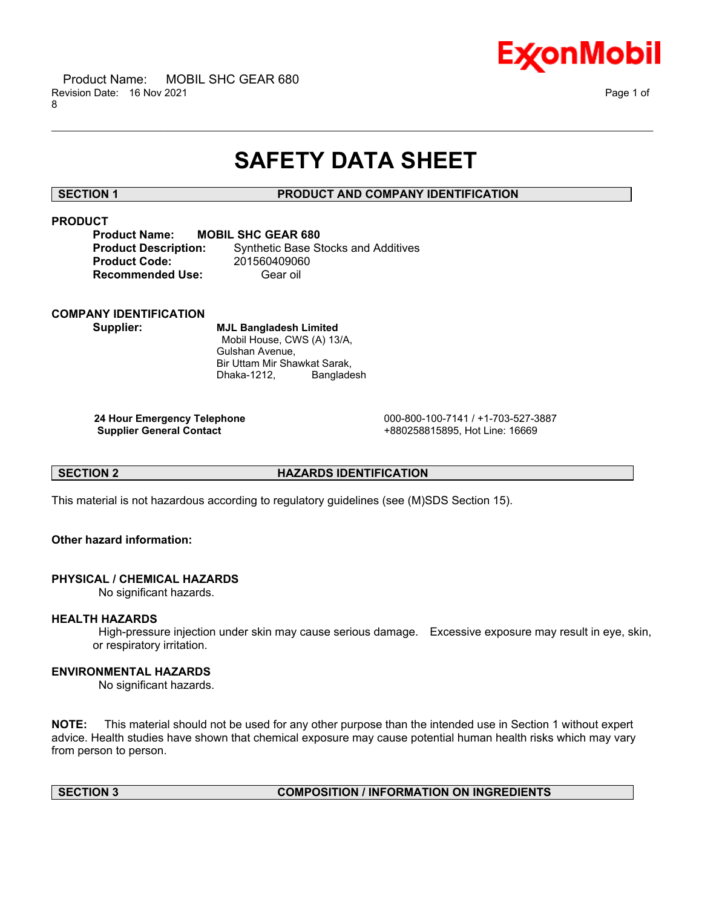

# **SAFETY DATA SHEET**

\_\_\_\_\_\_\_\_\_\_\_\_\_\_\_\_\_\_\_\_\_\_\_\_\_\_\_\_\_\_\_\_\_\_\_\_\_\_\_\_\_\_\_\_\_\_\_\_\_\_\_\_\_\_\_\_\_\_\_\_\_\_\_\_\_\_\_\_\_\_\_\_\_\_\_\_\_\_\_\_\_\_\_\_\_\_\_\_\_\_\_\_\_\_\_\_\_\_\_\_\_\_\_\_\_\_\_\_\_\_\_\_\_\_\_\_\_\_

# **SECTION 1 PRODUCT AND COMPANY IDENTIFICATION**

# **PRODUCT**

| <b>Product Name:</b>        | <b>MOBIL SHC GEAR 680</b>                  |
|-----------------------------|--------------------------------------------|
| <b>Product Description:</b> | <b>Synthetic Base Stocks and Additives</b> |
| <b>Product Code:</b>        | 201560409060                               |
| <b>Recommended Use:</b>     | Gear oil                                   |

# **COMPANY IDENTIFICATION**

**Supplier: MJL Bangladesh Limited** Mobil House, CWS (A) 13/A, Gulshan Avenue, Bir Uttam Mir Shawkat Sarak, Dhaka-1212, Bangladesh

**24 Hour Emergency Telephone** 000-800-100-7141 / +1-703-527-3887 **Supplier General Contact** +880258815895, Hot Line: 16669

# **SECTION 2 HAZARDS IDENTIFICATION**

This material is not hazardous according to regulatory guidelines (see (M)SDS Section 15).

# **Other hazard information:**

# **PHYSICAL / CHEMICAL HAZARDS**

No significant hazards.

# **HEALTH HAZARDS**

High-pressure injection under skin may cause serious damage. Excessive exposure may result in eye, skin, or respiratory irritation.

# **ENVIRONMENTAL HAZARDS**

No significant hazards.

**NOTE:** This material should not be used for any other purpose than the intended use in Section 1 without expert advice. Health studies have shown that chemical exposure may cause potential human health risks which may vary from person to person.

# **SECTION 3 COMPOSITION / INFORMATION ON INGREDIENTS**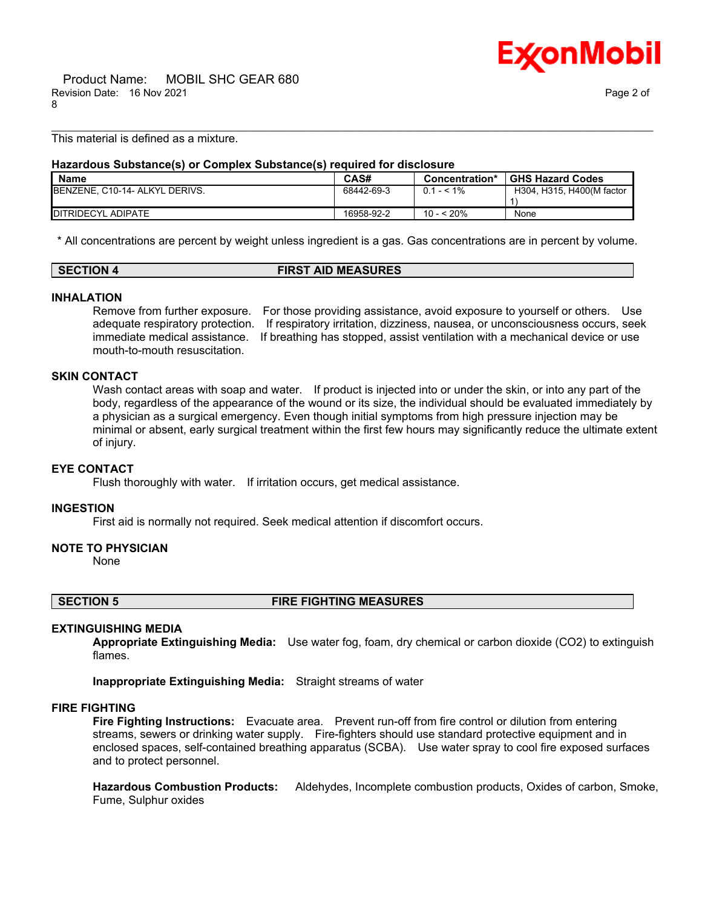

This material is defined as a mixture.

# **Hazardous Substance(s) or Complex Substance(s) required for disclosure**

| <b>Name</b>                    | CAS#       | Concentration* | <b>GHS Hazard Codes</b>   |
|--------------------------------|------------|----------------|---------------------------|
| BENZENE, C10-14- ALKYL DERIVS. | 68442-69-3 | $0.1 - 5.1\%$  | H304, H315, H400(M factor |
|                                |            |                |                           |
| <b>IDITRIDECYL ADIPATE</b>     | 16958-92-2 | 10 - < 20%     | None                      |

\_\_\_\_\_\_\_\_\_\_\_\_\_\_\_\_\_\_\_\_\_\_\_\_\_\_\_\_\_\_\_\_\_\_\_\_\_\_\_\_\_\_\_\_\_\_\_\_\_\_\_\_\_\_\_\_\_\_\_\_\_\_\_\_\_\_\_\_\_\_\_\_\_\_\_\_\_\_\_\_\_\_\_\_\_\_\_\_\_\_\_\_\_\_\_\_\_\_\_\_\_\_\_\_\_\_\_\_\_\_\_\_\_\_\_\_\_\_

\* All concentrations are percent by weight unless ingredient is a gas. Gas concentrations are in percent by volume.

## **SECTION 4 FIRST AID MEASURES**

### **INHALATION**

Remove from further exposure. For those providing assistance, avoid exposure to yourself or others. Use adequate respiratory protection. If respiratory irritation, dizziness, nausea, or unconsciousness occurs, seek immediate medical assistance. If breathing has stopped, assist ventilation with a mechanical device or use mouth-to-mouth resuscitation.

### **SKIN CONTACT**

Wash contact areas with soap and water. If product is injected into or under the skin, or into any part of the body, regardless of the appearance of the wound or its size, the individual should be evaluated immediately by a physician as a surgical emergency. Even though initial symptoms from high pressure injection may be minimal or absent, early surgical treatment within the first few hours may significantly reduce the ultimate extent of injury.

### **EYE CONTACT**

Flush thoroughly with water. If irritation occurs, get medical assistance.

### **INGESTION**

First aid is normally not required. Seek medical attention if discomfort occurs.

# **NOTE TO PHYSICIAN**

None

**SECTION 5 FIRE FIGHTING MEASURES**

### **EXTINGUISHING MEDIA**

**Appropriate Extinguishing Media:** Use water fog, foam, dry chemical or carbon dioxide (CO2) to extinguish flames.

**Inappropriate Extinguishing Media:** Straight streams of water

# **FIRE FIGHTING**

**Fire Fighting Instructions:** Evacuate area. Prevent run-off from fire control or dilution from entering streams, sewers or drinking water supply. Fire-fighters should use standard protective equipment and in enclosed spaces, self-contained breathing apparatus (SCBA). Use water spray to cool fire exposed surfaces and to protect personnel.

**Hazardous Combustion Products:** Aldehydes, Incomplete combustion products, Oxides of carbon, Smoke, Fume, Sulphur oxides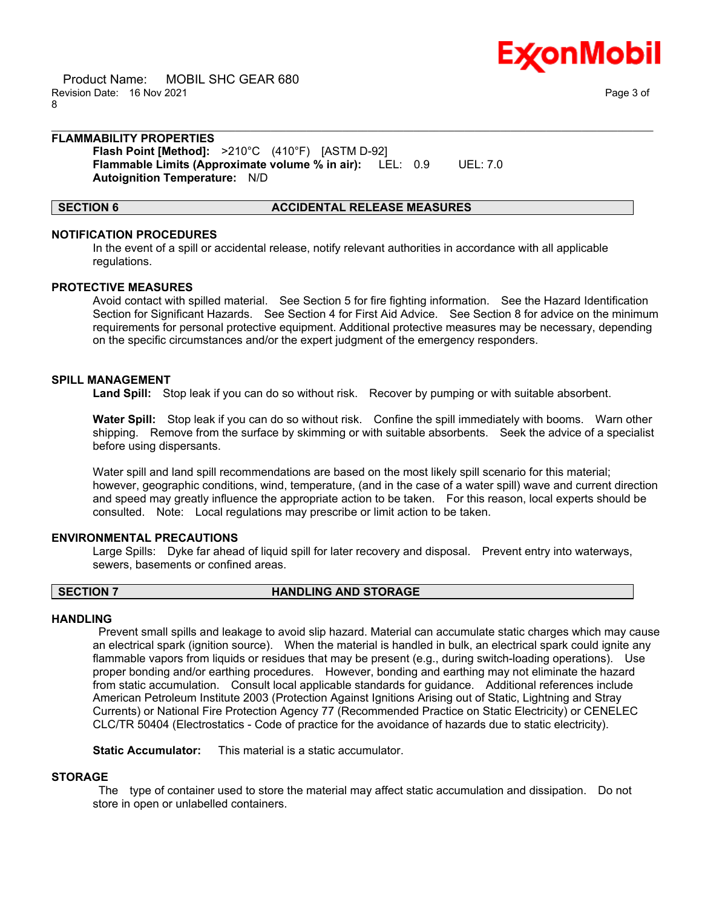

 Product Name: MOBIL SHC GEAR 680 Revision Date: 16 Nov 2021 Page 3 of 8

# **FLAMMABILITY PROPERTIES**

**Flash Point [Method]:** >210°C (410°F) [ASTM D-92] **Flammable Limits (Approximate volume % in air):** LEL: 0.9 UEL: 7.0 **Autoignition Temperature:** N/D

## **SECTION 6 ACCIDENTAL RELEASE MEASURES**

### **NOTIFICATION PROCEDURES**

In the event of a spill or accidental release, notify relevant authorities in accordance with all applicable regulations.

\_\_\_\_\_\_\_\_\_\_\_\_\_\_\_\_\_\_\_\_\_\_\_\_\_\_\_\_\_\_\_\_\_\_\_\_\_\_\_\_\_\_\_\_\_\_\_\_\_\_\_\_\_\_\_\_\_\_\_\_\_\_\_\_\_\_\_\_\_\_\_\_\_\_\_\_\_\_\_\_\_\_\_\_\_\_\_\_\_\_\_\_\_\_\_\_\_\_\_\_\_\_\_\_\_\_\_\_\_\_\_\_\_\_\_\_\_\_

### **PROTECTIVE MEASURES**

Avoid contact with spilled material. See Section 5 for fire fighting information. See the Hazard Identification Section for Significant Hazards. See Section 4 for First Aid Advice. See Section 8 for advice on the minimum requirements for personal protective equipment. Additional protective measures may be necessary, depending on the specific circumstances and/or the expert judgment of the emergency responders.

# **SPILL MANAGEMENT**

**Land Spill:** Stop leak if you can do so without risk. Recover by pumping or with suitable absorbent.

**Water Spill:** Stop leak if you can do so without risk. Confine the spill immediately with booms. Warn other shipping. Remove from the surface by skimming or with suitable absorbents. Seek the advice of a specialist before using dispersants.

Water spill and land spill recommendations are based on the most likely spill scenario for this material; however, geographic conditions, wind, temperature, (and in the case of a water spill) wave and current direction and speed may greatly influence the appropriate action to be taken. For this reason, local experts should be consulted. Note: Local regulations may prescribe or limit action to be taken.

### **ENVIRONMENTAL PRECAUTIONS**

Large Spills: Dyke far ahead of liquid spill for later recovery and disposal. Prevent entry into waterways, sewers, basements or confined areas.

### **SECTION 7 HANDLING AND STORAGE**

# **HANDLING**

Prevent small spills and leakage to avoid slip hazard. Material can accumulate static charges which may cause an electrical spark (ignition source). When the material is handled in bulk, an electrical spark could ignite any flammable vapors from liquids or residues that may be present (e.g., during switch-loading operations). Use proper bonding and/or earthing procedures. However, bonding and earthing may not eliminate the hazard from static accumulation. Consult local applicable standards for guidance. Additional references include American Petroleum Institute 2003 (Protection Against Ignitions Arising out of Static, Lightning and Stray Currents) or National Fire Protection Agency 77 (Recommended Practice on Static Electricity) or CENELEC CLC/TR 50404 (Electrostatics - Code of practice for the avoidance of hazards due to static electricity).

**Static Accumulator:** This material is a static accumulator.

### **STORAGE**

The type of container used to store the material may affect static accumulation and dissipation. Do not store in open or unlabelled containers.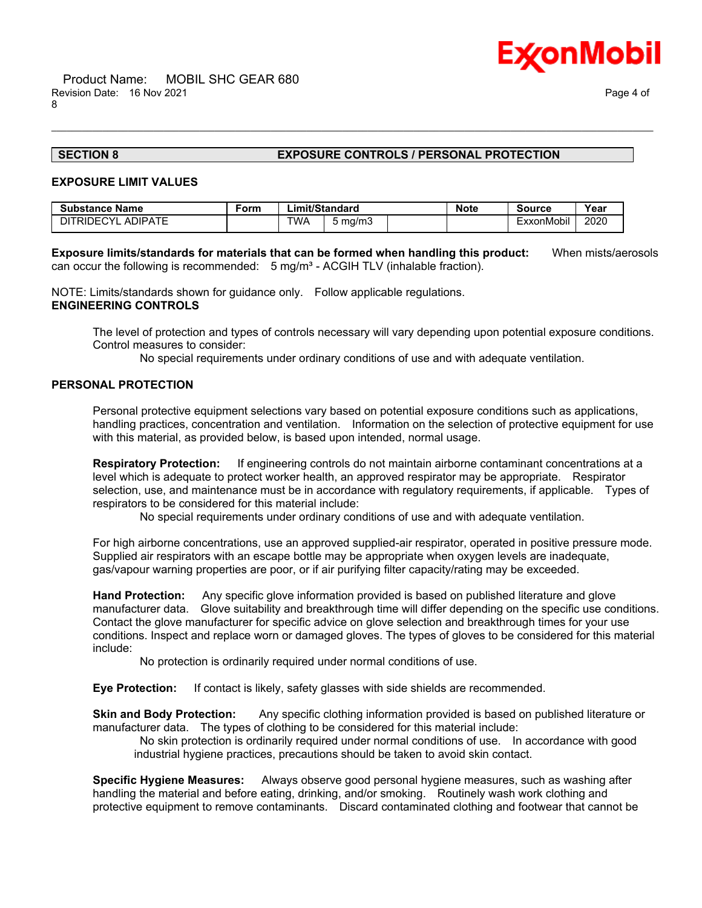

# **SECTION 8 EXPOSURE CONTROLS / PERSONAL PROTECTION**

## **EXPOSURE LIMIT VALUES**

| <b>Substance Name</b> | Form |            | _imit/Standard | <b>Note</b> | <b>Source</b> | Year |
|-----------------------|------|------------|----------------|-------------|---------------|------|
| DITRIDECYL ADIPATE    |      | <b>TWA</b> | 5 ma/m3        |             | ExxonMobil    | 2020 |

**Exposure limits/standards for materials that can be formed when handling this product:** When mists/aerosols can occur the following is recommended:  $5 \text{ mg/m}^3$  - ACGIH TLV (inhalable fraction).

\_\_\_\_\_\_\_\_\_\_\_\_\_\_\_\_\_\_\_\_\_\_\_\_\_\_\_\_\_\_\_\_\_\_\_\_\_\_\_\_\_\_\_\_\_\_\_\_\_\_\_\_\_\_\_\_\_\_\_\_\_\_\_\_\_\_\_\_\_\_\_\_\_\_\_\_\_\_\_\_\_\_\_\_\_\_\_\_\_\_\_\_\_\_\_\_\_\_\_\_\_\_\_\_\_\_\_\_\_\_\_\_\_\_\_\_\_\_

NOTE: Limits/standards shown for guidance only. Follow applicable regulations. **ENGINEERING CONTROLS**

The level of protection and types of controls necessary will vary depending upon potential exposure conditions. Control measures to consider:

No special requirements under ordinary conditions of use and with adequate ventilation.

# **PERSONAL PROTECTION**

Personal protective equipment selections vary based on potential exposure conditions such as applications, handling practices, concentration and ventilation. Information on the selection of protective equipment for use with this material, as provided below, is based upon intended, normal usage.

**Respiratory Protection:** If engineering controls do not maintain airborne contaminant concentrations at a level which is adequate to protect worker health, an approved respirator may be appropriate. Respirator selection, use, and maintenance must be in accordance with regulatory requirements, if applicable. Types of respirators to be considered for this material include:

No special requirements under ordinary conditions of use and with adequate ventilation.

For high airborne concentrations, use an approved supplied-air respirator, operated in positive pressure mode. Supplied air respirators with an escape bottle may be appropriate when oxygen levels are inadequate, gas/vapour warning properties are poor, or if air purifying filter capacity/rating may be exceeded.

**Hand Protection:** Any specific glove information provided is based on published literature and glove manufacturer data. Glove suitability and breakthrough time will differ depending on the specific use conditions. Contact the glove manufacturer for specific advice on glove selection and breakthrough times for your use conditions. Inspect and replace worn or damaged gloves. The types of gloves to be considered for this material include:

No protection is ordinarily required under normal conditions of use.

**Eye Protection:** If contact is likely, safety glasses with side shields are recommended.

**Skin and Body Protection:** Any specific clothing information provided is based on published literature or manufacturer data. The types of clothing to be considered for this material include:

No skin protection is ordinarily required under normal conditions of use. In accordance with good industrial hygiene practices, precautions should be taken to avoid skin contact.

**Specific Hygiene Measures:** Always observe good personal hygiene measures, such as washing after handling the material and before eating, drinking, and/or smoking. Routinely wash work clothing and protective equipment to remove contaminants. Discard contaminated clothing and footwear that cannot be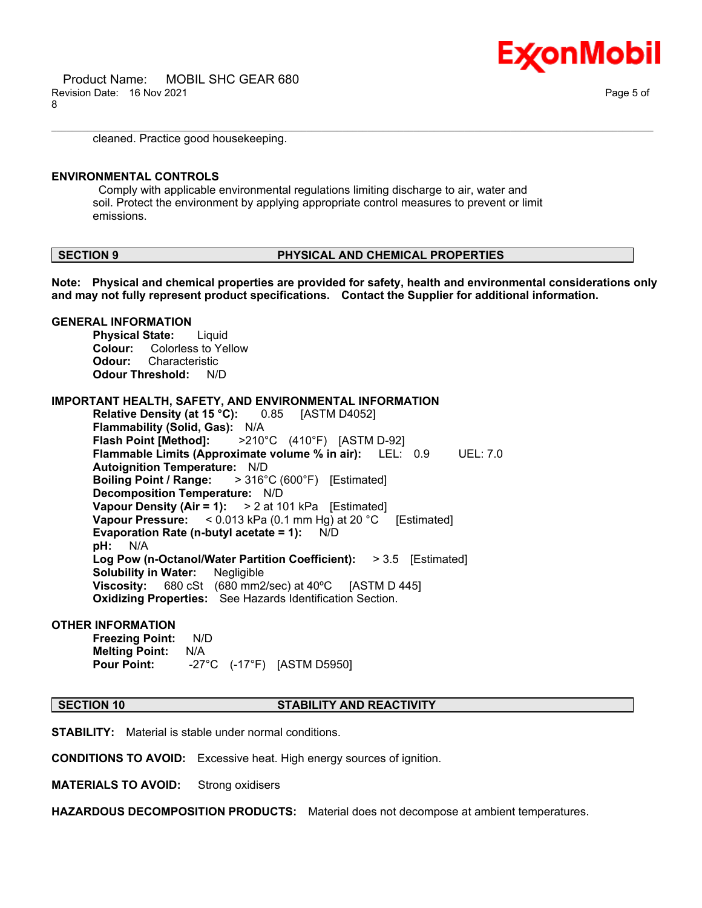

cleaned. Practice good housekeeping.

# **ENVIRONMENTAL CONTROLS**

**GENERAL INFORMATION**

Comply with applicable environmental regulations limiting discharge to air, water and soil. Protect the environment by applying appropriate control measures to prevent or limit emissions.

### **SECTION 9 PHYSICAL AND CHEMICAL PROPERTIES**

**Note: Physical and chemical properties are provided for safety, health and environmental considerations only and may not fully represent product specifications. Contact the Supplier for additional information.**

\_\_\_\_\_\_\_\_\_\_\_\_\_\_\_\_\_\_\_\_\_\_\_\_\_\_\_\_\_\_\_\_\_\_\_\_\_\_\_\_\_\_\_\_\_\_\_\_\_\_\_\_\_\_\_\_\_\_\_\_\_\_\_\_\_\_\_\_\_\_\_\_\_\_\_\_\_\_\_\_\_\_\_\_\_\_\_\_\_\_\_\_\_\_\_\_\_\_\_\_\_\_\_\_\_\_\_\_\_\_\_\_\_\_\_\_\_\_

# **Physical State:** Liquid **Colour:** Colorless to Yellow **Odour:** Characteristic **Odour Threshold:** N/D **IMPORTANT HEALTH, SAFETY, AND ENVIRONMENTAL INFORMATION Relative Density (at 15 °C):** 0.85 [ASTM D4052] **Flammability (Solid, Gas):** N/A **Flash Point [Method]:** >210°C (410°F) [ASTM D-92] **Flammable Limits (Approximate volume % in air):** LEL: 0.9 UEL: 7.0 **Autoignition Temperature:** N/D **Boiling Point / Range:** > 316°C (600°F) [Estimated] **Decomposition Temperature:** N/D **Vapour Density (Air = 1):** > 2 at 101 kPa [Estimated] **Vapour Pressure:** < 0.013 kPa (0.1 mm Hg) at 20 °C [Estimated] **Evaporation Rate (n-butyl acetate = 1):** N/D **pH:** N/A **Log Pow (n-Octanol/Water Partition Coefficient):** > 3.5 [Estimated] **Solubility in Water:** Negligible **Viscosity:** 680 cSt (680 mm2/sec) at 40ºC [ASTM D 445] **Oxidizing Properties:** See Hazards Identification Section.

### **OTHER INFORMATION**

**Freezing Point:** N/D **Melting Point:** N/A **Pour Point:** -27°C (-17°F) [ASTM D5950]

### **SECTION 10 STABILITY AND REACTIVITY**

**STABILITY:** Material is stable under normal conditions.

**CONDITIONS TO AVOID:** Excessive heat. High energy sources of ignition.

**MATERIALS TO AVOID:** Strong oxidisers

**HAZARDOUS DECOMPOSITION PRODUCTS:** Material does not decompose at ambient temperatures.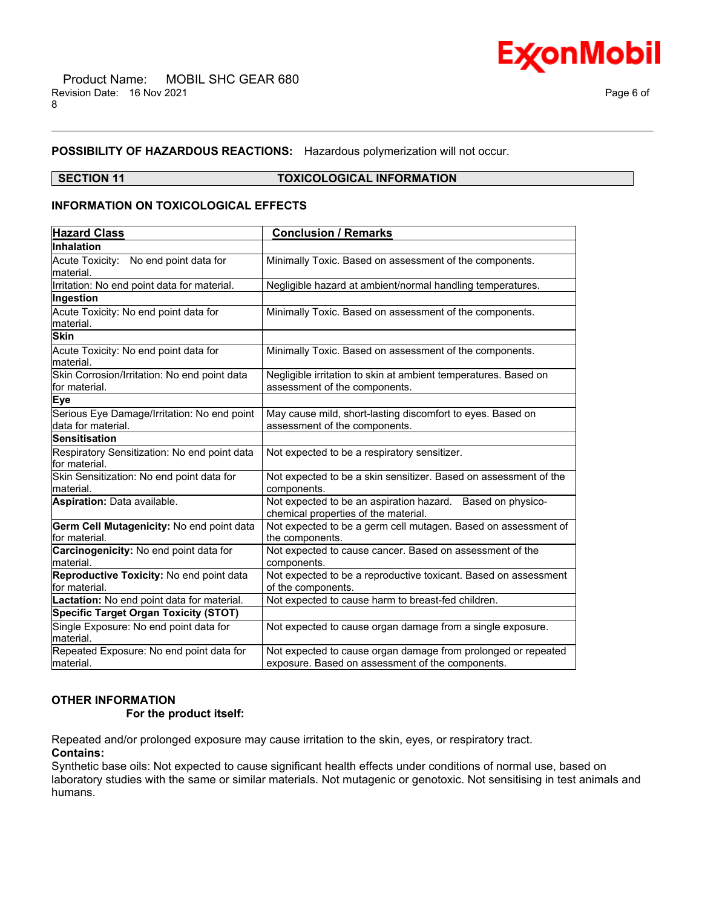



# **POSSIBILITY OF HAZARDOUS REACTIONS:** Hazardous polymerization will not occur.

## **SECTION 11 TOXICOLOGICAL INFORMATION**

\_\_\_\_\_\_\_\_\_\_\_\_\_\_\_\_\_\_\_\_\_\_\_\_\_\_\_\_\_\_\_\_\_\_\_\_\_\_\_\_\_\_\_\_\_\_\_\_\_\_\_\_\_\_\_\_\_\_\_\_\_\_\_\_\_\_\_\_\_\_\_\_\_\_\_\_\_\_\_\_\_\_\_\_\_\_\_\_\_\_\_\_\_\_\_\_\_\_\_\_\_\_\_\_\_\_\_\_\_\_\_\_\_\_\_\_\_\_

# **INFORMATION ON TOXICOLOGICAL EFFECTS**

| <b>Hazard Class</b>                                           | <b>Conclusion / Remarks</b>                                                                      |  |  |  |
|---------------------------------------------------------------|--------------------------------------------------------------------------------------------------|--|--|--|
| Inhalation                                                    |                                                                                                  |  |  |  |
| Acute Toxicity: No end point data for                         | Minimally Toxic. Based on assessment of the components.                                          |  |  |  |
| lmaterial.                                                    |                                                                                                  |  |  |  |
| Irritation: No end point data for material.                   | Negligible hazard at ambient/normal handling temperatures.                                       |  |  |  |
| Ingestion                                                     |                                                                                                  |  |  |  |
| Acute Toxicity: No end point data for                         | Minimally Toxic. Based on assessment of the components.                                          |  |  |  |
| material.                                                     |                                                                                                  |  |  |  |
| <b>Skin</b>                                                   |                                                                                                  |  |  |  |
| Acute Toxicity: No end point data for<br>material.            | Minimally Toxic. Based on assessment of the components.                                          |  |  |  |
| Skin Corrosion/Irritation: No end point data<br>for material. | Negligible irritation to skin at ambient temperatures. Based on<br>assessment of the components. |  |  |  |
| Eye                                                           |                                                                                                  |  |  |  |
| Serious Eye Damage/Irritation: No end point                   | May cause mild, short-lasting discomfort to eyes. Based on                                       |  |  |  |
| data for material.                                            | assessment of the components.                                                                    |  |  |  |
| <b>Sensitisation</b>                                          |                                                                                                  |  |  |  |
| Respiratory Sensitization: No end point data                  | Not expected to be a respiratory sensitizer.                                                     |  |  |  |
| for material.                                                 |                                                                                                  |  |  |  |
| Skin Sensitization: No end point data for                     | Not expected to be a skin sensitizer. Based on assessment of the                                 |  |  |  |
| lmaterial.                                                    | components.                                                                                      |  |  |  |
| Aspiration: Data available.                                   | Not expected to be an aspiration hazard. Based on physico-                                       |  |  |  |
|                                                               | chemical properties of the material.                                                             |  |  |  |
| Germ Cell Mutagenicity: No end point data                     | Not expected to be a germ cell mutagen. Based on assessment of                                   |  |  |  |
| for material.                                                 | the components.                                                                                  |  |  |  |
| Carcinogenicity: No end point data for                        | Not expected to cause cancer. Based on assessment of the                                         |  |  |  |
| lmaterial.                                                    | components.                                                                                      |  |  |  |
| Reproductive Toxicity: No end point data<br>lfor material.    | Not expected to be a reproductive toxicant. Based on assessment<br>of the components.            |  |  |  |
| Lactation: No end point data for material.                    | Not expected to cause harm to breast-fed children.                                               |  |  |  |
| <b>Specific Target Organ Toxicity (STOT)</b>                  |                                                                                                  |  |  |  |
| Single Exposure: No end point data for                        | Not expected to cause organ damage from a single exposure.                                       |  |  |  |
| lmaterial.                                                    |                                                                                                  |  |  |  |
| Repeated Exposure: No end point data for                      | Not expected to cause organ damage from prolonged or repeated                                    |  |  |  |
| material.                                                     | exposure. Based on assessment of the components.                                                 |  |  |  |

# **OTHER INFORMATION**

# **For the product itself:**

Repeated and/or prolonged exposure may cause irritation to the skin, eyes, or respiratory tract. **Contains:**

Synthetic base oils: Not expected to cause significant health effects under conditions of normal use, based on laboratory studies with the same or similar materials. Not mutagenic or genotoxic. Not sensitising in test animals and humans.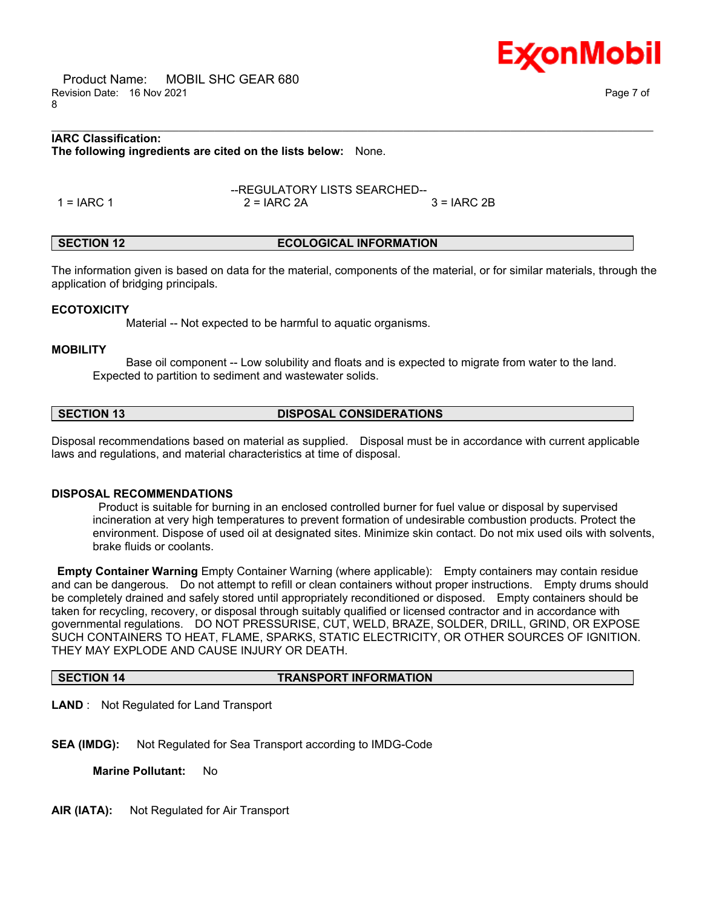Product Name: MOBIL SHC GEAR 680 Revision Date: 16 Nov 2021 Page 7 of 8

# **IARC Classification: The following ingredients are cited on the lists below:** None.

1 = IARC 1 2 = IARC 2A 3 = IARC 2B

# **SECTION 12 ECOLOGICAL INFORMATION**

The information given is based on data for the material, components of the material, or for similar materials, through the application of bridging principals.

\_\_\_\_\_\_\_\_\_\_\_\_\_\_\_\_\_\_\_\_\_\_\_\_\_\_\_\_\_\_\_\_\_\_\_\_\_\_\_\_\_\_\_\_\_\_\_\_\_\_\_\_\_\_\_\_\_\_\_\_\_\_\_\_\_\_\_\_\_\_\_\_\_\_\_\_\_\_\_\_\_\_\_\_\_\_\_\_\_\_\_\_\_\_\_\_\_\_\_\_\_\_\_\_\_\_\_\_\_\_\_\_\_\_\_\_\_\_

--REGULATORY LISTS SEARCHED--

# **ECOTOXICITY**

Material -- Not expected to be harmful to aquatic organisms.

## **MOBILITY**

 Base oil component -- Low solubility and floats and is expected to migrate from water to the land. Expected to partition to sediment and wastewater solids.

# **SECTION 13 DISPOSAL CONSIDERATIONS**

Disposal recommendations based on material as supplied. Disposal must be in accordance with current applicable laws and regulations, and material characteristics at time of disposal.

### **DISPOSAL RECOMMENDATIONS**

Product is suitable for burning in an enclosed controlled burner for fuel value or disposal by supervised incineration at very high temperatures to prevent formation of undesirable combustion products. Protect the environment. Dispose of used oil at designated sites. Minimize skin contact. Do not mix used oils with solvents, brake fluids or coolants.

**Empty Container Warning** Empty Container Warning (where applicable): Empty containers may contain residue and can be dangerous. Do not attempt to refill or clean containers without proper instructions. Empty drums should be completely drained and safely stored until appropriately reconditioned or disposed. Empty containers should be taken for recycling, recovery, or disposal through suitably qualified or licensed contractor and in accordance with governmental regulations. DO NOT PRESSURISE, CUT, WELD, BRAZE, SOLDER, DRILL, GRIND, OR EXPOSE SUCH CONTAINERS TO HEAT, FLAME, SPARKS, STATIC ELECTRICITY, OR OTHER SOURCES OF IGNITION. THEY MAY EXPLODE AND CAUSE INJURY OR DEATH.

### **SECTION 14 TRANSPORT INFORMATION**

**LAND** : Not Regulated for Land Transport

**SEA (IMDG):** Not Regulated for Sea Transport according to IMDG-Code

**Marine Pollutant:** No

**AIR (IATA):** Not Regulated for Air Transport

Ex⁄onMobil